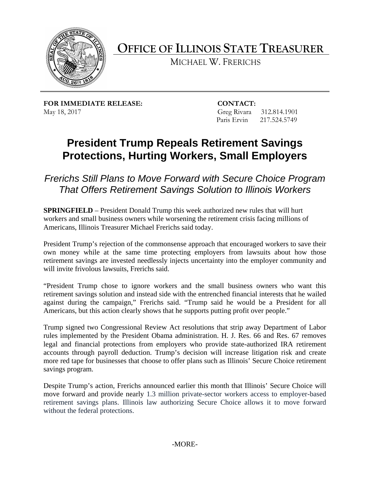

**OFFICE OF ILLINOIS STATE TREASURER** 

MICHAEL W. FRERICHS

**FOR IMMEDIATE RELEASE: CONTACT:** May 18, 2017 Greg Rivara 312.814.1901

Paris Ervin 217.524.5749

## **President Trump Repeals Retirement Savings Protections, Hurting Workers, Small Employers**

 *Frerichs Still Plans to Move Forward with Secure Choice Program That Offers Retirement Savings Solution to Illinois Workers* 

**SPRINGFIELD** – President Donald Trump this week authorized new rules that will hurt workers and small business owners while worsening the retirement crisis facing millions of Americans, Illinois Treasurer Michael Frerichs said today.

 own money while at the same time protecting employers from lawsuits about how those President Trump's rejection of the commonsense approach that encouraged workers to save their retirement savings are invested needlessly injects uncertainty into the employer community and will invite frivolous lawsuits, Frerichs said.

"President Trump chose to ignore workers and the small business owners who want this retirement savings solution and instead side with the entrenched financial interests that he wailed against during the campaign," Frerichs said. "Trump said he would be a President for all Americans, but this action clearly shows that he supports putting profit over people."

 Trump signed two Congressional Review Act resolutions that strip away Department of Labor more red tape for businesses that choose to offer plans such as Illinois' Secure Choice retirement rules implemented by the President Obama administration. H. J. Res. 66 and Res. 67 removes legal and financial protections from employers who provide state-authorized IRA retirement accounts through payroll deduction. Trump's decision will increase litigation risk and create savings program.

 retirement savings plans. Illinois law authorizing Secure Choice allows it to move forward Despite Trump's action, Frerichs announced earlier this month that Illinois' Secure Choice will move forward and provide nearly 1.3 million private-sector workers access to employer-based without the federal protections.